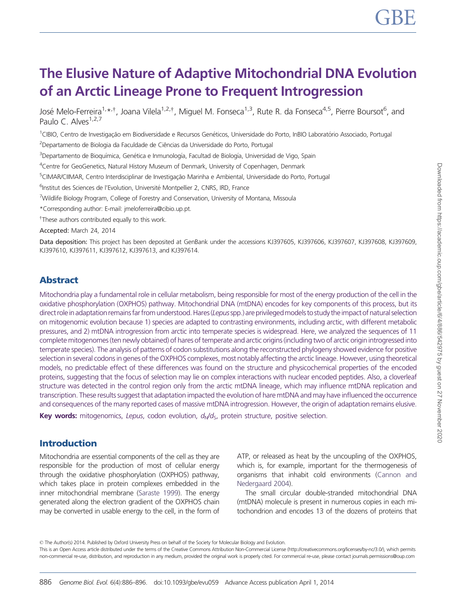# The Elusive Nature of Adaptive Mitochondrial DNA Evolution of an Arctic Lineage Prone to Frequent Introgression

José Melo-Ferreira<sup>1,</sup>\*<sup>,†</sup>, Joana Vilela<sup>1,2,†</sup>, Miguel M. Fonseca<sup>1,3</sup>, Rute R. da Fonseca<sup>4,5</sup>, Pierre Boursot<sup>6</sup>, and Paulo C. Alves<sup>1,2,7</sup>

<sup>1</sup>CIBIO, Centro de Investigação em Biodiversidade e Recursos Genéticos, Universidade do Porto, InBIO Laboratório Associado, Portugal <sup>2</sup>Departamento de Biologia da Faculdade de Ciências da Universidade do Porto, Portugal

<sup>3</sup>Departamento de Bioquímica, Genética e Inmunología, Facultad de Biología, Universidad de Vigo, Spain

<sup>4</sup>Centre for GeoGenetics, Natural History Museum of Denmark, University of Copenhagen, Denmark

<sup>5</sup>CIMAR/CIIMAR, Centro Interdisciplinar de Investigação Marinha e Ambiental, Universidade do Porto, Portugal

<sup>6</sup>Institut des Sciences de l'Evolution, Université Montpellier 2, CNRS, IRD, France

<sup>7</sup>Wildlife Biology Program, College of Forestry and Conservation, University of Montana, Missoula

\*Corresponding author: E-mail: jmeloferreira@cibio.up.pt.

<sup>†</sup>These authors contributed equally to this work.

Accepted: March 24, 2014

Data deposition: This project has been deposited at GenBank under the accessions KJ397605, KJ397606, KJ397607, KJ397608, KJ397609, KJ397610, KJ397611, KJ397612, KJ397613, and KJ397614.

# Abstract

Mitochondria play a fundamental role in cellular metabolism, being responsible for most of the energy production of the cell in the oxidative phosphorylation (OXPHOS) pathway. Mitochondrial DNA (mtDNA) encodes for key components of this process, but its direct role in adaptation remains far from understood. Hares (Lepus spp.) are privileged models to study the impact of natural selection on mitogenomic evolution because 1) species are adapted to contrasting environments, including arctic, with different metabolic pressures, and 2) mtDNA introgression from arctic into temperate species is widespread. Here, we analyzed the sequences of 11 complete mitogenomes (ten newly obtained) of hares of temperate and arctic origins (including two of arctic origin introgressed into temperate species). The analysis of patterns of codon substitutions along the reconstructed phylogeny showed evidence for positive selection in several codons in genes of the OXPHOS complexes, most notably affecting the arctic lineage. However, using theoretical models, no predictable effect of these differences was found on the structure and physicochemical properties of the encoded proteins, suggesting that the focus of selection may lie on complex interactions with nuclear encoded peptides. Also, a cloverleaf structure was detected in the control region only from the arctic mtDNA lineage, which may influence mtDNA replication and transcription. These results suggest that adaptation impacted the evolution of hare mtDNA and may have influenced the occurrence and consequences of the many reported cases of massive mtDNA introgression. However, the origin of adaptation remains elusive.

**Key words:** mitogenomics, Lepus, codon evolution,  $d_N/d_S$ , protein structure, positive selection.

# Introduction

Mitochondria are essential components of the cell as they are responsible for the production of most of cellular energy through the oxidative phosphorylation (OXPHOS) pathway, which takes place in protein complexes embedded in the inner mitochondrial membrane ([Saraste 1999](#page-10-0)). The energy generated along the electron gradient of the OXPHOS chain may be converted in usable energy to the cell, in the form of

ATP, or released as heat by the uncoupling of the OXPHOS, which is, for example, important for the thermogenesis of organisms that inhabit cold environments [\(Cannon and](#page-9-0) [Nedergaard 2004\)](#page-9-0).

The small circular double-stranded mitochondrial DNA (mtDNA) molecule is present in numerous copies in each mitochondrion and encodes 13 of the dozens of proteins that

© The Author(s) 2014. Published by Oxford University Press on behalf of the Society for Molecular Biology and Evolution.

This is an Open Access article distributed under the terms of the Creative Commons Attribution Non-Commercial License (http://creativecommons.org/licenses/by-nc/3.0/), which permits non-commercial re-use, distribution, and reproduction in any medium, provided the original work is properly cited. For commercial re-use, please contact journals.permissions@oup.com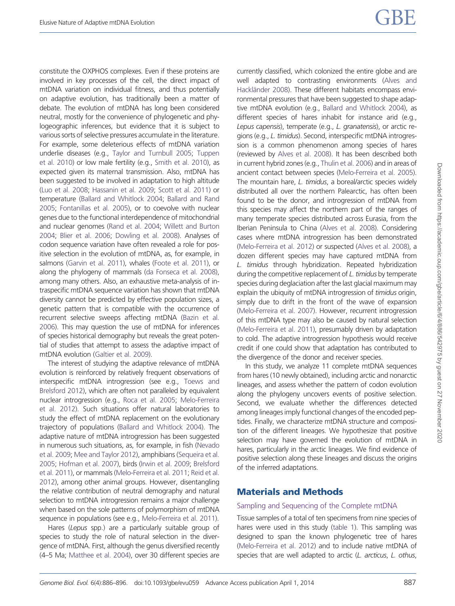constitute the OXPHOS complexes. Even if these proteins are involved in key processes of the cell, the direct impact of mtDNA variation on individual fitness, and thus potentially on adaptive evolution, has traditionally been a matter of debate. The evolution of mtDNA has long been considered neutral, mostly for the convenience of phylogenetic and phylogeographic inferences, but evidence that it is subject to various sorts of selective pressures accumulate in the literature. For example, some deleterious effects of mtDNA variation underlie diseases (e.g., [Taylor and Turnbull 2005;](#page-10-0) [Tuppen](#page-10-0) [et al. 2010\)](#page-10-0) or low male fertility (e.g., [Smith et al. 2010](#page-10-0)), as expected given its maternal transmission. Also, mtDNA has been suggested to be involved in adaptation to high altitude [\(Luo et al. 2008;](#page-9-0) [Hassanin et al. 2009](#page-9-0); [Scott et al. 2011](#page-10-0)) or temperature [\(Ballard and Whitlock 2004;](#page-9-0) [Ballard and Rand](#page-9-0) [2005;](#page-9-0) [Fontanillas et al. 2005\)](#page-9-0), or to coevolve with nuclear genes due to the functional interdependence of mitochondrial and nuclear genomes ([Rand et al. 2004;](#page-10-0) [Willett and Burton](#page-10-0) [2004;](#page-10-0) [Blier et al. 2006](#page-9-0); [Dowling et al. 2008\)](#page-9-0). Analyses of codon sequence variation have often revealed a role for positive selection in the evolution of mtDNA, as, for example, in salmons [\(Garvin et al. 2011](#page-9-0)), whales [\(Foote et al. 2011\)](#page-9-0), or along the phylogeny of mammals [\(da Fonseca et al. 2008](#page-9-0)), among many others. Also, an exhaustive meta-analysis of intraspecific mtDNA sequence variation has shown that mtDNA diversity cannot be predicted by effective population sizes, a genetic pattern that is compatible with the occurrence of recurrent selective sweeps affecting mtDNA [\(Bazin et al.](#page-9-0) [2006\)](#page-9-0). This may question the use of mtDNA for inferences of species historical demography but reveals the great potential of studies that attempt to assess the adaptive impact of mtDNA evolution [\(Galtier et al. 2009\)](#page-9-0).

The interest of studying the adaptive relevance of mtDNA evolution is reinforced by relatively frequent observations of interspecific mtDNA introgression (see e.g., [Toews and](#page-10-0) [Brelsford 2012\)](#page-10-0), which are often not paralleled by equivalent nuclear introgression (e.g., [Roca et al. 2005](#page-10-0); [Melo-Ferreira](#page-9-0) [et al. 2012\)](#page-9-0). Such situations offer natural laboratories to study the effect of mtDNA replacement on the evolutionary trajectory of populations [\(Ballard and Whitlock 2004\)](#page-9-0). The adaptive nature of mtDNA introgression has been suggested in numerous such situations, as, for example, in fish [\(Nevado](#page-9-0) [et al. 2009](#page-9-0); [Mee and Taylor 2012](#page-9-0)), amphibians ([Sequeira et al.](#page-10-0) [2005;](#page-10-0) [Hofman et al. 2007](#page-9-0)), birds [\(Irwin et al. 2009](#page-9-0); [Brelsford](#page-9-0) [et al. 2011\)](#page-9-0), or mammals ([Melo-Ferreira et al. 2011;](#page-9-0) [Reid et al.](#page-10-0) [2012\)](#page-10-0), among other animal groups. However, disentangling the relative contribution of neutral demography and natural selection to mtDNA introgression remains a major challenge when based on the sole patterns of polymorphism of mtDNA sequence in populations (see e.g., [Melo-Ferreira et al. 2011\)](#page-9-0).

Hares (Lepus spp.) are a particularly suitable group of species to study the role of natural selection in the divergence of mtDNA. First, although the genus diversified recently (4–5 Ma; [Matthee et al. 2004\)](#page-9-0), over 30 different species are currently classified, which colonized the entire globe and are well adapted to contrasting environments [\(Alves and](#page-8-0) Hackländer 2008). These different habitats encompass environmental pressures that have been suggested to shape adaptive mtDNA evolution (e.g., [Ballard and Whitlock 2004](#page-9-0)), as different species of hares inhabit for instance arid (e.g., Lepus capensis), temperate (e.g., L. granatensis), or arctic regions (e.g., L. timidus). Second, interspecific mtDNA introgression is a common phenomenon among species of hares (reviewed by [Alves et al. 2008](#page-8-0)). It has been described both in current hybrid zones (e.g., [Thulin et al. 2006\)](#page-10-0) and in areas of ancient contact between species [\(Melo-Ferreira et al. 2005\)](#page-9-0). The mountain hare, L. timidus, a boreal/arctic species widely distributed all over the northern Palearctic, has often been found to be the donor, and introgression of mtDNA from this species may affect the northern part of the ranges of many temperate species distributed across Eurasia, from the Iberian Peninsula to China ([Alves et al. 2008\)](#page-8-0). Considering cases where mtDNA introgression has been demonstrated ([Melo-Ferreira et al. 2012\)](#page-9-0) or suspected [\(Alves et al. 2008](#page-8-0)), a dozen different species may have captured mtDNA from L. timidus through hybridization. Repeated hybridization during the competitive replacement of L. timidus by temperate species during deglaciation after the last glacial maximum may explain the ubiquity of mtDNA introgression of timidus origin, simply due to drift in the front of the wave of expansion ([Melo-Ferreira et al. 2007](#page-9-0)). However, recurrent introgression of this mtDNA type may also be caused by natural selection ([Melo-Ferreira et al. 2011\)](#page-9-0), presumably driven by adaptation to cold. The adaptive introgression hypothesis would receive credit if one could show that adaptation has contributed to the divergence of the donor and receiver species.

In this study, we analyze 11 complete mtDNA sequences from hares (10 newly obtained), including arctic and nonarctic lineages, and assess whether the pattern of codon evolution along the phylogeny uncovers events of positive selection. Second, we evaluate whether the differences detected among lineages imply functional changes of the encoded peptides. Finally, we characterize mtDNA structure and composition of the different lineages. We hypothesize that positive selection may have governed the evolution of mtDNA in hares, particularly in the arctic lineages. We find evidence of positive selection along these lineages and discuss the origins of the inferred adaptations.

# Materials and Methods

### Sampling and Sequencing of the Complete mtDNA

Tissue samples of a total of ten specimens from nine species of hares were used in this study [\(table 1\)](#page-2-0). This sampling was designed to span the known phylogenetic tree of hares ([Melo-Ferreira et al. 2012](#page-9-0)) and to include native mtDNA of species that are well adapted to arctic (L. arcticus, L. othus,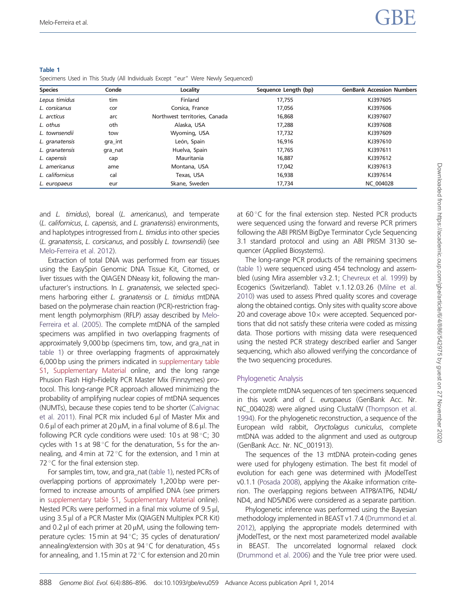| <b>Species</b>  | Conde   | Locality                      | Sequence Length (bp) | <b>GenBank Accession Numbers</b> |
|-----------------|---------|-------------------------------|----------------------|----------------------------------|
| Lepus timidus   | tim     | Finland                       | 17,755               | KJ397605                         |
| L. corsicanus   | cor     | Corsica, France               | 17,056               | KJ397606                         |
| L. arcticus     | arc     | Northwest territories, Canada | 16,868               | KJ397607                         |
| L. othus        | oth     | Alaska, USA                   | 17,288               | KJ397608                         |
| L. townsendii   | tow     | Wyoming, USA                  | 17,732               | KJ397609                         |
| L. granatensis  | gra_int | León, Spain                   | 16.916               | KJ397610                         |
| L. granatensis  | gra_nat | Huelva, Spain                 | 17.765               | KJ397611                         |
| L. capensis     | cap     | Mauritania                    | 16,887               | KJ397612                         |
| L. americanus   | ame     | Montana, USA                  | 17.042               | KJ397613                         |
| L. californicus | cal     | Texas, USA                    | 16,938               | KJ397614                         |
| L. europaeus    | eur     | Skane, Sweden                 | 17,734               | <b>NC 004028</b>                 |

<span id="page-2-0"></span>Table 1 Specimens Used in This Study (All Individuals Except "eur" Were Newly Sequenced)

and L. timidus), boreal (L. americanus), and temperate (L. californicus, L. capensis, and L. granatensis) environments, and haplotypes introgressed from L. timidus into other species (L. granatensis, L. corsicanus, and possibly L. townsendii) (see [Melo-Ferreira et al. 2012\)](#page-9-0).

Extraction of total DNA was performed from ear tissues using the EasySpin Genomic DNA Tissue Kit, Citomed, or liver tissues with the QIAGEN DNeasy kit, following the manufacturer's instructions. In L. granatensis, we selected specimens harboring either L. granatensis or L. timidus mtDNA based on the polymerase chain reaction (PCR)-restriction fragment length polymorphism (RFLP) assay described by [Melo-](#page-9-0)[Ferreira et al. \(2005\)](#page-9-0). The complete mtDNA of the sampled specimens was amplified in two overlapping fragments of approximately 9,000 bp (specimens tim, tow, and gra\_nat in table 1) or three overlapping fragments of approximately 6,000 bp using the primers indicated in [supplementary table](http://gbe.oxfordjournals.org/lookup/suppl/doi:10.1093/gbe/evu059/-/DC1) [S1](http://gbe.oxfordjournals.org/lookup/suppl/doi:10.1093/gbe/evu059/-/DC1), [Supplementary Material](http://gbe.oxfordjournals.org/lookup/suppl/doi:10.1093/gbe/evu059/-/DC1) online, and the long range Phusion Flash High-Fidelity PCR Master Mix (Finnzymes) protocol. This long-range PCR approach allowed minimizing the probability of amplifying nuclear copies of mtDNA sequences (NUMTs), because these copies tend to be shorter [\(Calvignac](#page-9-0) [et al. 2011](#page-9-0)). Final PCR mix included  $6 \mu l$  of Master Mix and 0.6  $\mu$ l of each primer at 20  $\mu$ M, in a final volume of 8.6  $\mu$ l. The following PCR cycle conditions were used: 10s at 98°C; 30 cycles with 1 s at  $98^{\circ}$ C for the denaturation, 5 s for the annealing, and  $4 \text{ min}$  at  $72 \text{ }^{\circ}$ C for the extension, and 1 min at 72 °C for the final extension step.

For samples tim, tow, and gra\_nat (table 1), nested PCRs of overlapping portions of approximately 1,200 bp were performed to increase amounts of amplified DNA (see primers in [supplementary table S1,](http://gbe.oxfordjournals.org/lookup/suppl/doi:10.1093/gbe/evu059/-/DC1) [Supplementary Material](http://gbe.oxfordjournals.org/lookup/suppl/doi:10.1093/gbe/evu059/-/DC1) online). Nested PCRs were performed in a final mix volume of  $9.5 \mu$ l, using 3.5 µl of a PCR Master Mix (QIAGEN Multiplex PCR Kit) and 0.2  $\mu$ l of each primer at 20  $\mu$ M, using the following temperature cycles: 15 min at 94 °C; 35 cycles of denaturation/ annealing/extension with 30s at  $94^{\circ}$ C for denaturation, 45 s for annealing, and 1.15 min at 72 $\,^{\circ}$ C for extension and 20 min

at 60°C for the final extension step. Nested PCR products were sequenced using the forward and reverse PCR primers following the ABI PRISM BigDye Terminator Cycle Sequencing 3.1 standard protocol and using an ABI PRISM 3130 sequencer (Applied Biosystems).

The long-range PCR products of the remaining specimens (table 1) were sequenced using 454 technology and assembled (using Mira assembler v3.2.1; [Chevreux et al. 1999\)](#page-9-0) by Ecogenics (Switzerland). Tablet v.1.12.03.26 [\(Milne et al.](#page-9-0) [2010](#page-9-0)) was used to assess Phred quality scores and coverage along the obtained contigs. Only sites with quality score above 20 and coverage above  $10\times$  were accepted. Sequenced portions that did not satisfy these criteria were coded as missing data. Those portions with missing data were resequenced using the nested PCR strategy described earlier and Sanger sequencing, which also allowed verifying the concordance of the two sequencing procedures.

#### Phylogenetic Analysis

The complete mtDNA sequences of ten specimens sequenced in this work and of L. europaeus (GenBank Acc. Nr. NC\_004028) were aligned using ClustalW ([Thompson et al.](#page-10-0) [1994](#page-10-0)). For the phylogenetic reconstruction, a sequence of the European wild rabbit, Oryctolagus cuniculus, complete mtDNA was added to the alignment and used as outgroup (GenBank Acc. Nr. NC\_001913).

The sequences of the 13 mtDNA protein-coding genes were used for phylogeny estimation. The best fit model of evolution for each gene was determined with jModelTest v0.1.1 [\(Posada 2008](#page-10-0)), applying the Akaike information criterion. The overlapping regions between ATP8/ATP6, ND4L/ ND4, and ND5/ND6 were considered as a separate partition.

Phylogenetic inference was performed using the Bayesian methodology implemented in BEAST v1.7.4 ([Drummond et al.](#page-9-0) [2012](#page-9-0)), applying the appropriate models determined with jModelTest, or the next most parameterized model available in BEAST. The uncorrelated lognormal relaxed clock ([Drummond et al. 2006\)](#page-9-0) and the Yule tree prior were used.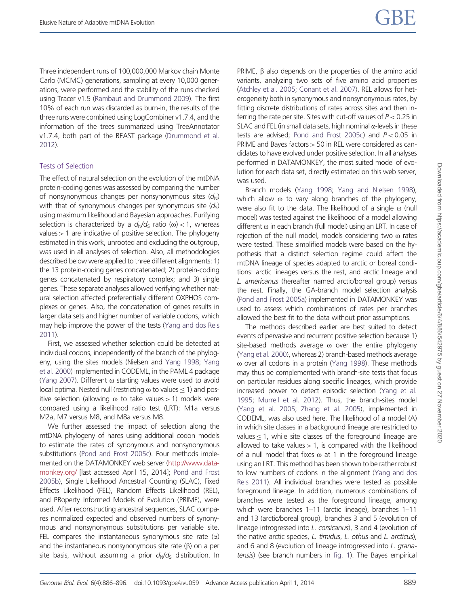Three independent runs of 100,000,000 Markov chain Monte Carlo (MCMC) generations, sampling at every 10,000 generations, were performed and the stability of the runs checked using Tracer v1.5 [\(Rambaut and Drummond 2009\)](#page-10-0). The first 10% of each run was discarded as burn-in, the results of the three runs were combined using LogCombiner v1.7.4, and the information of the trees summarized using TreeAnnotator v1.7.4, both part of the BEAST package ([Drummond et al.](#page-9-0) [2012\)](#page-9-0).

### Tests of Selection

The effect of natural selection on the evolution of the mtDNA protein-coding genes was assessed by comparing the number of nonsynonymous changes per nonsynonymous sites  $(d_N)$ with that of synonymous changes per synonymous site  $(d<sub>5</sub>)$ using maximum likelihood and Bayesian approaches. Purifying selection is characterized by a  $d_N/d_S$  ratio ( $\omega$ ) < 1, whereas values  $> 1$  are indicative of positive selection. The phylogeny estimated in this work, unrooted and excluding the outgroup, was used in all analyses of selection. Also, all methodologies described below were applied to three different alignments: 1) the 13 protein-coding genes concatenated; 2) protein-coding genes concatenated by respiratory complex; and 3) single genes. These separate analyses allowed verifying whether natural selection affected preferentially different OXPHOS complexes or genes. Also, the concatenation of genes results in larger data sets and higher number of variable codons, which may help improve the power of the tests ([Yang and dos Reis](#page-10-0) [2011\)](#page-10-0).

First, we assessed whether selection could be detected at individual codons, independently of the branch of the phylogeny, using the sites models (Nielsen and [Yang 1998;](#page-10-0) [Yang](#page-10-0) [et al. 2000\)](#page-10-0) implemented in CODEML, in the PAML 4 package [\(Yang 2007\)](#page-10-0). Different  $\omega$  starting values were used to avoid local optima. Nested null (restricting  $\omega$  to values < 1) and positive selection (allowing  $\omega$  to take values > 1) models were compared using a likelihood ratio test (LRT): M1a versus M2a, M7 versus M8, and M8a versus M8.

We further assessed the impact of selection along the mtDNA phylogeny of hares using additional codon models to estimate the rates of synonymous and nonsynonymous substitutions [\(Pond and Frost 2005c](#page-10-0)). Four methods implemented on the DATAMONKEY web server [\(http://www.data](http://www.datamonkey.org/)[monkey.org/](http://www.datamonkey.org/) [last accessed April 15, 2014]; [Pond and Frost](#page-10-0) [2005b\)](#page-10-0), Single Likelihood Ancestral Counting (SLAC), Fixed Effects Likelihood (FEL), Random Effects Likelihood (REL), and PRoperty Informed Models of Evolution (PRIME), were used. After reconstructing ancestral sequences, SLAC compares normalized expected and observed numbers of synonymous and nonsynonymous substitutions per variable site. FEL compares the instantaneous synonymous site rate  $(\alpha)$ and the instantaneous nonsynonymous site rate  $(\beta)$  on a per site basis, without assuming a prior  $d_N/d_S$  distribution. In PRIME,  $\beta$  also depends on the properties of the amino acid variants, analyzing two sets of five amino acid properties ([Atchley et al. 2005](#page-9-0); [Conant et al. 2007](#page-9-0)). REL allows for heterogeneity both in synonymous and nonsynonymous rates, by fitting discrete distributions of rates across sites and then inferring the rate per site. Sites with cut-off values of  $P < 0.25$  in SLAC and FEL (in small data sets, high nominal  $\alpha$ -levels in these tests are advised; [Pond and Frost 2005c](#page-10-0)) and  $P < 0.05$  in PRIME and Bayes factors > 50 in REL were considered as candidates to have evolved under positive selection. In all analyses performed in DATAMONKEY, the most suited model of evolution for each data set, directly estimated on this web server, was used.

Branch models ([Yang 1998](#page-10-0); [Yang and Nielsen 1998\)](#page-10-0), which allow  $\omega$  to vary along branches of the phylogeny, were also fit to the data. The likelihood of a single  $\omega$  (null model) was tested against the likelihood of a model allowing different  $\omega$  in each branch (full model) using an LRT. In case of rejection of the null model, models considering two  $\omega$  rates were tested. These simplified models were based on the hypothesis that a distinct selection regime could affect the mtDNA lineage of species adapted to arctic or boreal conditions: arctic lineages versus the rest, and arctic lineage and L. americanus (hereafter named arctic/boreal group) versus the rest. Finally, the GA-branch model selection analysis ([Pond and Frost 2005a](#page-10-0)) implemented in DATAMONKEY was used to assess which combinations of rates per branches allowed the best fit to the data without prior assumptions.

The methods described earlier are best suited to detect events of pervasive and recurrent positive selection because 1) site-based methods average  $\omega$  over the entire phylogeny ([Yang et al. 2000](#page-10-0)), whereas 2) branch-based methods average o over all codons in a protein [\(Yang 1998](#page-10-0)). These methods may thus be complemented with branch-site tests that focus on particular residues along specific lineages, which provide increased power to detect episodic selection [\(Yang et al.](#page-10-0) [1995](#page-10-0); [Murrell et al. 2012](#page-9-0)). Thus, the branch-sites model ([Yang et al. 2005](#page-10-0); [Zhang et al. 2005\)](#page-10-0), implemented in CODEML, was also used here. The likelihood of a model (A) in which site classes in a background lineage are restricted to values  $<$  1, while site classes of the foreground lineage are allowed to take values  $> 1$ , is compared with the likelihood of a null model that fixes  $\omega$  at 1 in the foreground lineage using an LRT. This method has been shown to be rather robust to low numbers of codons in the alignment [\(Yang and dos](#page-10-0) [Reis 2011\)](#page-10-0). All individual branches were tested as possible foreground lineage. In addition, numerous combinations of branches were tested as the foreground lineage, among which were branches 1–11 (arctic lineage), branches 1–11 and 13 (arctic/boreal group), branches 3 and 5 (evolution of lineage introgressed into L. corsicanus), 3 and 4 (evolution of the native arctic species, L. timidus, L. othus and L. arcticus), and 6 and 8 (evolution of lineage introgressed into L. granatensis) (see branch numbers in [fig. 1](#page-4-0)). The Bayes empirical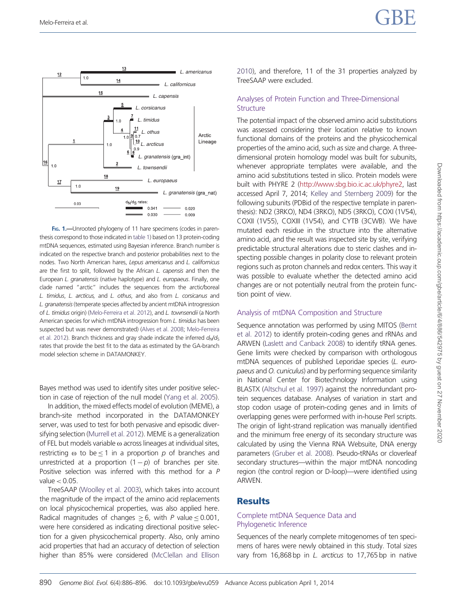<span id="page-4-0"></span>



FIG. 1.—Unrooted phylogeny of 11 hare specimens (codes in parenthesis correspond to those indicated in [table 1\)](#page-2-0) based on 13 protein-coding mtDNA sequences, estimated using Bayesian inference. Branch number is indicated on the respective branch and posterior probabilities next to the nodes. Two North American hares, Lepus americanus and L. californicus are the first to split, followed by the African L. capensis and then the European L. granatensis (native haplotype) and L. europaeus. Finally, one clade named "arctic" includes the sequences from the arctic/boreal L. timidus, L. arcticus, and L. othus, and also from L. corsicanus and L. granatensis(temperate species affected by ancient mtDNA introgression of L. timidus origin) [\(Melo-Ferreira et al. 2012](#page-9-0)), and L. townsendii (a North American species for which mtDNA introgression from L. timidus has been suspected but was never demonstrated) [\(Alves et al. 2008](#page-8-0); [Melo-Ferreira](#page-9-0) [et al. 2012](#page-9-0)). Branch thickness and gray shade indicate the inferred  $d_N/d_S$ rates that provide the best fit to the data as estimated by the GA-branch model selection scheme in DATAMONKEY.

Bayes method was used to identify sites under positive selection in case of rejection of the null model [\(Yang et al. 2005](#page-10-0)).

In addition, the mixed effects model of evolution (MEME), a branch-site method incorporated in the DATAMONKEY server, was used to test for both pervasive and episodic diversifying selection ([Murrell et al. 2012](#page-9-0)). MEME is a generalization of FEL but models variable  $\omega$  across lineages at individual sites, restricting  $\omega$  to be < 1 in a proportion p of branches and unrestricted at a proportion  $(1-p)$  of branches per site. Positive selection was inferred with this method for a P value $< 0.05$ .

TreeSAAP [\(Woolley et al. 2003](#page-10-0)), which takes into account the magnitude of the impact of the amino acid replacements on local physicochemical properties, was also applied here. Radical magnitudes of changes  $\geq 6$ , with P value  $\leq 0.001$ , were here considered as indicating directional positive selection for a given physicochemical property. Also, only amino acid properties that had an accuracy of detection of selection higher than 85% were considered [\(McClellan and Ellison](#page-9-0) [2010](#page-9-0)), and therefore, 11 of the 31 properties analyzed by TreeSAAP were excluded.

#### Analyses of Protein Function and Three-Dimensional **Structure**

The potential impact of the observed amino acid substitutions was assessed considering their location relative to known functional domains of the proteins and the physicochemical properties of the amino acid, such as size and charge. A threedimensional protein homology model was built for subunits, whenever appropriate templates were available, and the amino acid substitutions tested in silico. Protein models were built with PHYRE 2 [\(http://www.sbg.bio.ic.ac.uk/phyre2,](http://www.sbg.bio.ic.ac.uk/phyre2) last accessed April 7, 2014; [Kelley and Sternberg 2009](#page-9-0)) for the following subunits (PDBid of the respective template in parenthesis): ND2 (3RKO), ND4 (3RKO), ND5 (3RKO), COXI (1V54), COXII (1V55), COXIII (1V54), and CYTB (3CWB). We have mutated each residue in the structure into the alternative amino acid, and the result was inspected site by site, verifying predictable structural alterations due to steric clashes and inspecting possible changes in polarity close to relevant protein regions such as proton channels and redox centers. This way it was possible to evaluate whether the detected amino acid changes are or not potentially neutral from the protein function point of view.

#### Analysis of mtDNA Composition and Structure

Sequence annotation was performed by using MITOS [\(Bernt](#page-9-0) [et al. 2012](#page-9-0)) to identify protein-coding genes and rRNAs and ARWEN ([Laslett and Canback 2008](#page-9-0)) to identify tRNA genes. Gene limits were checked by comparison with orthologous mtDNA sequences of published Leporidae species (L. europaeus and O. cuniculus) and by performing sequence similarity in National Center for Biotechnology Information using BLASTX [\(Altschul et al. 1997\)](#page-8-0) against the nonredundant protein sequences database. Analyses of variation in start and stop codon usage of protein-coding genes and in limits of overlapping genes were performed with in-house Perl scripts. The origin of light-strand replication was manually identified and the minimum free energy of its secondary structure was calculated by using the Vienna RNA Websuite, DNA energy parameters [\(Gruber et al. 2008\)](#page-9-0). Pseudo-tRNAs or cloverleaf secondary structures—within the major mtDNA noncoding region (the control region or D-loop)—were identified using ARWEN.

### **Results**

### Complete mtDNA Sequence Data and Phylogenetic Inference

Sequences of the nearly complete mitogenomes of ten specimens of hares were newly obtained in this study. Total sizes vary from 16,868 bp in L. arcticus to 17,765 bp in native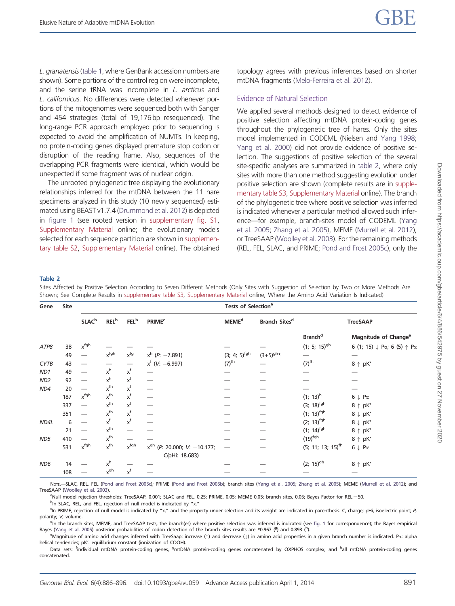<span id="page-5-0"></span>L. granatensis ([table 1,](#page-2-0) where GenBank accession numbers are shown). Some portions of the control region were incomplete, and the serine tRNA was incomplete in L. arcticus and L. californicus. No differences were detected whenever portions of the mitogenomes were sequenced both with Sanger and 454 strategies (total of 19,176 bp resequenced). The long-range PCR approach employed prior to sequencing is expected to avoid the amplification of NUMTs. In keeping, no protein-coding genes displayed premature stop codon or disruption of the reading frame. Also, sequences of the overlapping PCR fragments were identical, which would be unexpected if some fragment was of nuclear origin.

The unrooted phylogenetic tree displaying the evolutionary relationships inferred for the mtDNA between the 11 hare specimens analyzed in this study (10 newly sequenced) estimated using BEAST v1.7.4 [\(Drummond et al. 2012\)](#page-9-0) is depicted in [figure 1](#page-4-0) (see rooted version in [supplementary fig. S1,](http://gbe.oxfordjournals.org/lookup/suppl/doi:10.1093/gbe/evu059/-/DC1) [Supplementary Material](http://gbe.oxfordjournals.org/lookup/suppl/doi:10.1093/gbe/evu059/-/DC1) online; the evolutionary models selected for each sequence partition are shown in [supplemen](http://gbe.oxfordjournals.org/lookup/suppl/doi:10.1093/gbe/evu059/-/DC1)[tary table S2,](http://gbe.oxfordjournals.org/lookup/suppl/doi:10.1093/gbe/evu059/-/DC1) [Supplementary Material](http://gbe.oxfordjournals.org/lookup/suppl/doi:10.1093/gbe/evu059/-/DC1) online). The obtained topology agrees with previous inferences based on shorter mtDNA fragments ([Melo-Ferreira et al. 2012\)](#page-9-0).

#### Evidence of Natural Selection

We applied several methods designed to detect evidence of positive selection affecting mtDNA protein-coding genes throughout the phylogenetic tree of hares. Only the sites model implemented in CODEML (Nielsen and [Yang 1998](#page-10-0); [Yang et al. 2000\)](#page-10-0) did not provide evidence of positive selection. The suggestions of positive selection of the several site-specific analyses are summarized in table 2, where only sites with more than one method suggesting evolution under positive selection are shown (complete results are in [supple](http://gbe.oxfordjournals.org/lookup/suppl/doi:10.1093/gbe/evu059/-/DC1)[mentary table S3,](http://gbe.oxfordjournals.org/lookup/suppl/doi:10.1093/gbe/evu059/-/DC1) [Supplementary Material](http://gbe.oxfordjournals.org/lookup/suppl/doi:10.1093/gbe/evu059/-/DC1) online). The branch of the phylogenetic tree where positive selection was inferred is indicated whenever a particular method allowed such inference—for example, branch-sites model of CODEML ([Yang](#page-10-0) [et al. 2005](#page-10-0); [Zhang et al. 2005\)](#page-10-0), MEME ([Murrell et al. 2012\)](#page-9-0), or TreeSAAP ([Woolley et al. 2003](#page-10-0)). For the remaining methods (REL, FEL, SLAC, and PRIME; [Pond and Frost 2005c\)](#page-10-0), only the

#### Table 2

Sites Affected by Positive Selection According to Seven Different Methods (Only Sites with Suggestion of Selection by Two or More Methods Are Shown; See Complete Results in [supplementary table S3](http://gbe.oxfordjournals.org/lookup/suppl/doi:10.1093/gbe/evu059/-/DC1), [Supplementary Material](http://gbe.oxfordjournals.org/lookup/suppl/doi:10.1093/gbe/evu059/-/DC1) online, Where the Amino Acid Variation Is Indicated)

| Gene            | <b>Site</b> | Tests of Selection <sup>a</sup> |                         |                          |                                                    |                            |                           |                                 |                                                                 |
|-----------------|-------------|---------------------------------|-------------------------|--------------------------|----------------------------------------------------|----------------------------|---------------------------|---------------------------------|-----------------------------------------------------------------|
|                 |             | <b>SLAC</b> <sup>b</sup>        | <b>REL</b> <sup>b</sup> | <b>FEL</b> <sup>b</sup>  | <b>PRIME<sup>c</sup></b>                           | <b>MEME<sup>d</sup></b>    | Branch Sites <sup>d</sup> | <b>TreeSAAP</b>                 |                                                                 |
|                 |             |                                 |                         |                          |                                                    |                            |                           | <b>Branch<sup>d</sup></b>       | Magnitude of Change <sup>e</sup>                                |
| ATP8            | 38          | x <sup>fgh</sup>                |                         |                          |                                                    |                            |                           | $(1; 5; 15)^{gh}$               | 6 (1; 15) $\downarrow$ P $\alpha$ ; 6 (5) $\uparrow$ P $\alpha$ |
|                 | 49          |                                 | $x^{fgh}$               | $x^{fg}$                 | $x^h$ (P: $-7.891$ )                               | $(3; 4; 5)$ <sup>fgh</sup> | $(3+5)^{gh*}$             |                                 |                                                                 |
| <b>CYTB</b>     | 43          |                                 |                         |                          | $x^{f}$ (V: -6.997)                                | $(7)$ <sup>fh</sup>        |                           | $(7)$ <sup>fh</sup>             | $8 \uparrow pK'$                                                |
| ND1             | 49          |                                 | $x^h$                   | $x^f$                    |                                                    |                            |                           |                                 |                                                                 |
| ND <sub>2</sub> | 92          |                                 | $x^h$                   | $\mathsf{x}^\mathsf{f}$  |                                                    |                            |                           |                                 |                                                                 |
| ND4             | 20          |                                 | $x^{fh}$                | $\mathsf{x}^\mathsf{f}$  |                                                    |                            |                           |                                 |                                                                 |
|                 | 187         | <b>x</b> <sup>fgh</sup>         | $x^{fh}$                | $x^f$                    |                                                    |                            |                           | $(1; 13)^h$                     | $6 \downarrow P\alpha$                                          |
|                 | 337         |                                 | $x^{fh}$                | $x^f$                    |                                                    |                            |                           | $(3; 18)$ <sup>fgh</sup>        | $8 \uparrow pK'$                                                |
|                 | 351         |                                 | $x^{fh}$                | $x^f$                    |                                                    |                            |                           | $(1; 13)^{fgh}$                 | $8 \downarrow pK'$                                              |
| ND4L            | 6           |                                 | $x^f$                   | $x^f$                    |                                                    |                            |                           | $(2; 13)^{fgh}$                 | $8 \downarrow pK'$                                              |
|                 | 21          |                                 | $x^{fh}$                |                          |                                                    |                            |                           | $(1; 14)$ <sup>fgh</sup>        | 8 $\uparrow$ pK'                                                |
| ND5             | 410         |                                 | $x^{fh}$                | $\overline{\phantom{0}}$ |                                                    |                            |                           | $(19)$ <sup>fgh</sup>           | 8 $\uparrow$ pK'                                                |
|                 | 531         | x <sup>fgh</sup>                | $x^{fh}$                | $x^{fgh}$                | $x^{gh}$ (P: 20.000; V: -10.177;<br>C/pHi: 18.683) |                            |                           | $(5; 11; 13; 15)$ <sup>fh</sup> | $6 \downarrow \mathsf{P}\alpha$                                 |
| ND <sub>6</sub> | 14          |                                 | $x^h$                   |                          |                                                    |                            |                           | $(2; 15)^{gh}$                  | $8 \uparrow pK'$                                                |
|                 | 108         |                                 | $x^{gh}$                | $\mathsf{x}^\mathsf{f}$  |                                                    |                            |                           |                                 |                                                                 |

NorE.-SLAC, REL, FEL ([Pond and Frost 2005c\)](#page-10-0); PRIME ([Pond and Frost 2005b\)](#page-10-0); branch sites [\(Yang et al. 2005;](#page-10-0) [Zhang et al. 2005\)](#page-10-0); MEME [\(Murrell et al. 2012\)](#page-9-0); and TreeSAAP [\(Woolley et al. 2003\)](#page-10-0).

a<br>Null model rejection thresholds: TreeSAAP, 0.001; SLAC and FEL, 0.25; PRIME, 0.05; MEME 0.05; branch sites, 0.05; Bayes Factor for REL=50.

<sup>c</sup>In PRIME, rejection of null model is indicated by "x," and the property under selection and its weight are indicated in parenthesis. C, charge; pHi, isoelectric point; P, polarity; V, volume.

<sup>d</sup>In the branch sites, MEME, and TreeSAAP tests, the branch(es) where positive selection was inferred is indicated (see [fig. 1](#page-4-0) for correspondence); the Bayes empirical Bayes [\(Yang et al. 2005](#page-10-0)) posterior probabilities of codon detection of the branch sites results are \*0.967 (9) and 0.893 (<sup>h</sup>).

eMagnitude of amino acid changes inferred with TreeSaap: increase ( $\uparrow$ ) and decrease ( $\downarrow$ ) in amino acid properties in a given branch number is indicated. Pa: alpha helical tendencies; pK': equilibrium constant (ionization of COOH).

Data sets: <sup>f</sup>individual mtDNA protein-coding genes, <sup>g</sup>mtDNA protein-coding genes concatenated by OXPHOS complex, and <sup>h</sup>all mtDNA protein-coding genes concatenated.

<sup>&</sup>lt;sup>b</sup>In SLAC, REL, and FEL, rejection of null model is indicated by "x."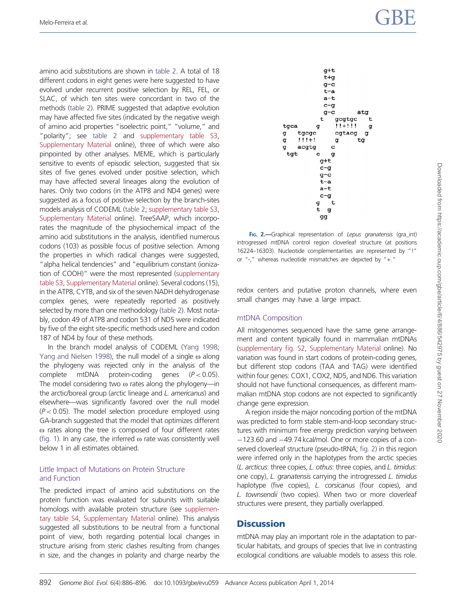<span id="page-6-0"></span>amino acid substitutions are shown in [table 2](#page-5-0). A total of 18 different codons in eight genes were here suggested to have evolved under recurrent positive selection by REL, FEL, or SLAC, of which ten sites were concordant in two of the methods [\(table 2\)](#page-5-0). PRIME suggested that adaptive evolution may have affected five sites (indicated by the negative weigh of amino acid properties "isoelectric point," "volume," and "polarity"; see [table 2](#page-5-0) and [supplementary table S3,](http://gbe.oxfordjournals.org/lookup/suppl/doi:10.1093/gbe/evu059/-/DC1) [Supplementary Material](http://gbe.oxfordjournals.org/lookup/suppl/doi:10.1093/gbe/evu059/-/DC1) online), three of which were also pinpointed by other analyses. MEME, which is particularly sensitive to events of episodic selection, suggested that six sites of five genes evolved under positive selection, which may have affected several lineages along the evolution of hares. Only two codons (in the ATP8 and ND4 genes) were suggested as a focus of positive selection by the branch-sites models analysis of CODEML ([table 2](#page-5-0); [supplementary table S3,](http://gbe.oxfordjournals.org/lookup/suppl/doi:10.1093/gbe/evu059/-/DC1) [Supplementary Material](http://gbe.oxfordjournals.org/lookup/suppl/doi:10.1093/gbe/evu059/-/DC1) online). TreeSAAP, which incorporates the magnitude of the physiochemical impact of the amino acid substitutions in the analysis, identified numerous codons (103) as possible focus of positive selection. Among the properties in which radical changes were suggested, "alpha helical tendencies" and "equilibrium constant (ionization of COOH)" were the most represented ([supplementary](http://gbe.oxfordjournals.org/lookup/suppl/doi:10.1093/gbe/evu059/-/DC1) [table S3](http://gbe.oxfordjournals.org/lookup/suppl/doi:10.1093/gbe/evu059/-/DC1), [Supplementary Material](http://gbe.oxfordjournals.org/lookup/suppl/doi:10.1093/gbe/evu059/-/DC1) online). Several codons (15), in the ATP8, CYTB, and six of the seven NADH dehydrogenase complex genes, were repeatedly reported as positively selected by more than one methodology [\(table 2\)](#page-5-0). Most notably, codon 49 of ATP8 and codon 531 of ND5 were indicated by five of the eight site-specific methods used here and codon 187 of ND4 by four of these methods.

In the branch model analysis of CODEML [\(Yang 1998;](#page-10-0) [Yang and Nielsen 1998\)](#page-10-0), the null model of a single  $\omega$  along the phylogeny was rejected only in the analysis of the complete mtDNA protein-coding genes  $(P < 0.05)$ . The model considering two  $\omega$  rates along the phylogeny—in the arctic/boreal group (arctic lineage and L. americanus) and elsewhere—was significantly favored over the null model  $(P < 0.05)$ . The model selection procedure employed using GA-branch suggested that the model that optimizes different  $\omega$  rates along the tree is composed of four different rates [\(fig. 1\)](#page-4-0). In any case, the inferred  $\omega$  rate was consistently well below 1 in all estimates obtained.

### Little Impact of Mutations on Protein Structure and Function

The predicted impact of amino acid substitutions on the protein function was evaluated for subunits with suitable homologs with available protein structure (see [supplemen](http://gbe.oxfordjournals.org/lookup/suppl/doi:10.1093/gbe/evu059/-/DC1)[tary table S4](http://gbe.oxfordjournals.org/lookup/suppl/doi:10.1093/gbe/evu059/-/DC1), [Supplementary Material](http://gbe.oxfordjournals.org/lookup/suppl/doi:10.1093/gbe/evu059/-/DC1) online). This analysis suggested all substitutions to be neutral from a functional point of view, both regarding potential local changes in structure arising from steric clashes resulting from changes in size, and the changes in polarity and charge nearby the



Fig. 2.—Graphical representation of Lepus granatensis (gra\_int) introgressed mtDNA control region cloverleaf structure (at positions 16224–16303). Nucleotide complementarities are represented by "!" or "-," whereas nucleotide mismatches are depicted by "+."

redox centers and putative proton channels, where even small changes may have a large impact.

### mtDNA Composition

All mitogenomes sequenced have the same gene arrangement and content typically found in mammalian mtDNAs ([supplementary fig. S2](http://gbe.oxfordjournals.org/lookup/suppl/doi:10.1093/gbe/evu059/-/DC1), [Supplementary Material](http://gbe.oxfordjournals.org/lookup/suppl/doi:10.1093/gbe/evu059/-/DC1) online). No variation was found in start codons of protein-coding genes, but different stop codons (TAA and TAG) were identified within four genes: COX1, COX2, ND5, and ND6. This variation should not have functional consequences, as different mammalian mtDNA stop codons are not expected to significantly change gene expression.

A region inside the major noncoding portion of the mtDNA was predicted to form stable stem-and-loop secondary structures with minimum free energy prediction varying between  $-123.60$  and  $-49.74$  kcal/mol. One or more copies of a conserved cloverleaf structure (pseudo-tRNA; fig. 2) in this region were inferred only in the haplotypes from the arctic species (L. arcticus: three copies, L. othus: three copies, and L. timidus: one copy), L. granatensis carrying the introgressed L. timidus haplotype (five copies), L. corsicanus (four copies), and L. townsendii (two copies). When two or more cloverleaf structures were present, they partially overlapped.

# **Discussion**

mtDNA may play an important role in the adaptation to particular habitats, and groups of species that live in contrasting ecological conditions are valuable models to assess this role.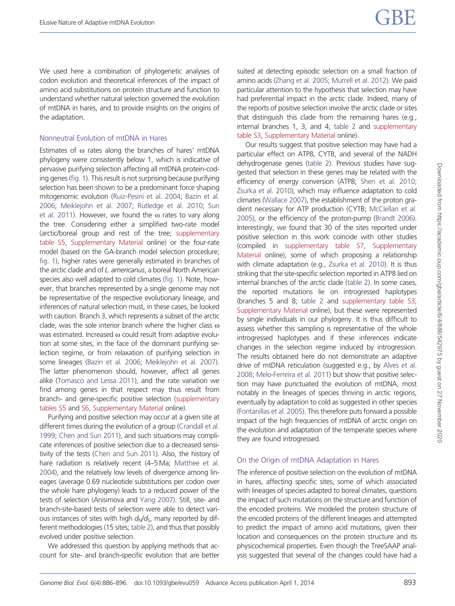We used here a combination of phylogenetic analyses of codon evolution and theoretical inferences of the impact of amino acid substitutions on protein structure and function to understand whether natural selection governed the evolution of mtDNA in hares, and to provide insights on the origins of the adaptation.

### Nonneutral Evolution of mtDNA in Hares

Estimates of  $\omega$  rates along the branches of hares' mtDNA phylogeny were consistently below 1, which is indicative of pervasive purifying selection affecting all mtDNA protein-coding genes [\(fig. 1](#page-4-0)). This result is not surprising because purifying selection has been shown to be a predominant force shaping mitogenomic evolution [\(Ruiz-Pesini et al. 2004](#page-10-0); [Bazin et al.](#page-9-0) [2006;](#page-9-0) [Meiklejohn et al. 2007;](#page-9-0) [Rutledge et al. 2010](#page-10-0); [Sun](#page-10-0) [et al. 2011\)](#page-10-0). However, we found the  $\omega$  rates to vary along the tree. Considering either a simplified two-rate model (arctic/boreal group and rest of the tree; [supplementary](http://gbe.oxfordjournals.org/lookup/suppl/doi:10.1093/gbe/evu059/-/DC1) [table S5](http://gbe.oxfordjournals.org/lookup/suppl/doi:10.1093/gbe/evu059/-/DC1), [Supplementary Material](http://gbe.oxfordjournals.org/lookup/suppl/doi:10.1093/gbe/evu059/-/DC1) online) or the four-rate model (based on the GA-branch model selection procedure; [fig. 1\)](#page-4-0), higher rates were generally estimated in branches of the arctic clade and of L. americanus, a boreal North American species also well adapted to cold climates ([fig. 1\)](#page-4-0). Note, however, that branches represented by a single genome may not be representative of the respective evolutionary lineage, and inferences of natural selection must, in these cases, be looked with caution. Branch 3, which represents a subset of the arctic clade, was the sole interior branch where the higher class  $\omega$ was estimated. Increased  $\omega$  could result from adaptive evolution at some sites, in the face of the dominant purifying selection regime, or from relaxation of purifying selection in some lineages [\(Bazin et al. 2006;](#page-9-0) [Meiklejohn et al. 2007](#page-9-0)). The latter phenomenon should, however, affect all genes alike ([Tomasco and Lessa 2011](#page-10-0)), and the rate variation we find among genes in that respect may thus result from branch- and gene-specific positive selection ([supplementary](http://gbe.oxfordjournals.org/lookup/suppl/doi:10.1093/gbe/evu059/-/DC1) [tables S5](http://gbe.oxfordjournals.org/lookup/suppl/doi:10.1093/gbe/evu059/-/DC1) and [S6](http://gbe.oxfordjournals.org/lookup/suppl/doi:10.1093/gbe/evu059/-/DC1), [Supplementary Material](http://gbe.oxfordjournals.org/lookup/suppl/doi:10.1093/gbe/evu059/-/DC1) online).

Purifying and positive selection may occur at a given site at different times during the evolution of a group [\(Crandall et al.](#page-9-0) [1999;](#page-9-0) [Chen and Sun 2011](#page-9-0)), and such situations may complicate inferences of positive selection due to a decreased sensitivity of the tests ([Chen and Sun 2011\)](#page-9-0). Also, the history of hare radiation is relatively recent (4–5 Ma; [Matthee et al.](#page-9-0) [2004\)](#page-9-0), and the relatively low levels of divergence among lineages (average 0.69 nucleotide substitutions per codon over the whole hare phylogeny) leads to a reduced power of the tests of selection (Anisimova and [Yang 2007\)](#page-10-0). Still, site- and branch-site-based tests of selection were able to detect various instances of sites with high  $d_N/d_S$ , many reported by different methodologies (15 sites; [table 2\)](#page-5-0), and thus that possibly evolved under positive selection.

We addressed this question by applying methods that account for site- and branch-specific evolution that are better suited at detecting episodic selection on a small fraction of amino acids [\(Zhang et al. 2005](#page-10-0); [Murrell et al. 2012\)](#page-9-0). We paid particular attention to the hypothesis that selection may have had preferential impact in the arctic clade. Indeed, many of the reports of positive selection involve the arctic clade or sites that distinguish this clade from the remaining hares (e.g., internal branches 1, 3, and 4; [table 2](#page-5-0) and [supplementary](http://gbe.oxfordjournals.org/lookup/suppl/doi:10.1093/gbe/evu059/-/DC1) [table S3,](http://gbe.oxfordjournals.org/lookup/suppl/doi:10.1093/gbe/evu059/-/DC1) [Supplementary Material](http://gbe.oxfordjournals.org/lookup/suppl/doi:10.1093/gbe/evu059/-/DC1) online).

Our results suggest that positive selection may have had a particular effect on ATP8, CYTB, and several of the NADH dehydrogenase genes [\(table 2](#page-5-0)). Previous studies have suggested that selection in these genes may be related with the efficiency of energy conversion (ATP8; [Shen et al. 2010](#page-10-0); [Zsurka et al. 2010\)](#page-10-0), which may influence adaptation to cold climates [\(Wallace 2007\)](#page-10-0), the establishment of the proton gradient necessary for ATP production (CYTB; [McClellan et al.](#page-9-0) [2005](#page-9-0)), or the efficiency of the proton-pump ([Brandt 2006\)](#page-9-0). Interestingly, we found that 30 of the sites reported under positive selection in this work coincide with other studies (compiled in [supplementary table S7](http://gbe.oxfordjournals.org/lookup/suppl/doi:10.1093/gbe/evu059/-/DC1), [Supplementary](http://gbe.oxfordjournals.org/lookup/suppl/doi:10.1093/gbe/evu059/-/DC1) [Material](http://gbe.oxfordjournals.org/lookup/suppl/doi:10.1093/gbe/evu059/-/DC1) online), some of which proposing a relationship with climate adaptation (e.g., [Zsurka et al. 2010](#page-10-0)). It is thus striking that the site-specific selection reported in ATP8 lied on internal branches of the arctic clade [\(table 2\)](#page-5-0). In some cases, the reported mutations lie on introgressed haplotypes (branches 5 and 8; [table 2](#page-5-0) and [supplementary table S3](http://gbe.oxfordjournals.org/lookup/suppl/doi:10.1093/gbe/evu059/-/DC1), [Supplementary Material](http://gbe.oxfordjournals.org/lookup/suppl/doi:10.1093/gbe/evu059/-/DC1) online), but these were represented by single individuals in our phylogeny. It is thus difficult to assess whether this sampling is representative of the whole introgressed haplotypes and if these inferences indicate changes in the selection regime induced by introgression. The results obtained here do not demonstrate an adaptive drive of mtDNA reticulation (suggested e.g., by [Alves et al.](#page-8-0) [2008](#page-8-0); [Melo-Ferreira et al. 2011\)](#page-9-0) but show that positive selection may have punctuated the evolution of mtDNA, most notably in the lineages of species thriving in arctic regions, eventually by adaptation to cold as suggested in other species ([Fontanillas et al. 2005\)](#page-9-0). This therefore puts forward a possible impact of the high frequencies of mtDNA of arctic origin on the evolution and adaptation of the temperate species where they are found introgressed.

### On the Origin of mtDNA Adaptation in Hares

The inference of positive selection on the evolution of mtDNA in hares, affecting specific sites, some of which associated with lineages of species adapted to boreal climates, questions the impact of such mutations on the structure and function of the encoded proteins. We modeled the protein structure of the encoded proteins of the different lineages and attempted to predict the impact of amino acid mutations, given their location and consequences on the protein structure and its physicochemical properties. Even though the TreeSAAP analysis suggested that several of the changes could have had a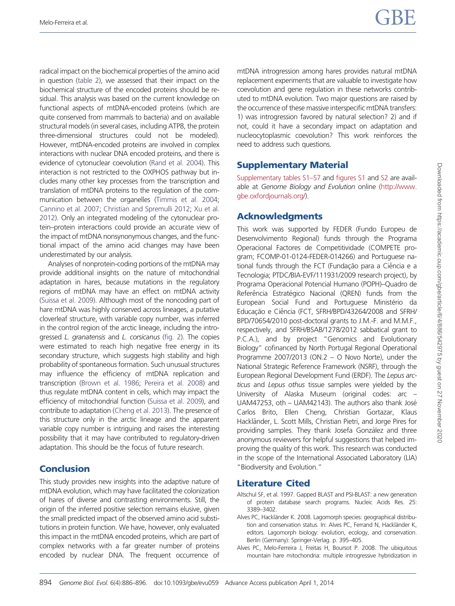<span id="page-8-0"></span>radical impact on the biochemical properties of the amino acid in question ([table 2\)](#page-5-0), we assessed that their impact on the biochemical structure of the encoded proteins should be residual. This analysis was based on the current knowledge on functional aspects of mtDNA-encoded proteins (which are quite conserved from mammals to bacteria) and on available structural models (in several cases, including ATP8, the protein three-dimensional structures could not be modeled). However, mtDNA-encoded proteins are involved in complex interactions with nuclear DNA encoded proteins, and there is evidence of cytonuclear coevolution [\(Rand et al. 2004](#page-10-0)). This interaction is not restricted to the OXPHOS pathway but includes many other key processes from the transcription and translation of mtDNA proteins to the regulation of the communication between the organelles ([Timmis et al. 2004;](#page-10-0) [Cannino et al. 2007](#page-9-0); [Christian and Spremulli 2012;](#page-9-0) [Xu et al.](#page-10-0) [2012\)](#page-10-0). Only an integrated modeling of the cytonuclear protein–protein interactions could provide an accurate view of the impact of mtDNA nonsynonymous changes, and the functional impact of the amino acid changes may have been underestimated by our analysis.

Analyses of nonprotein-coding portions of the mtDNA may provide additional insights on the nature of mitochondrial adaptation in hares, because mutations in the regulatory regions of mtDNA may have an effect on mtDNA activity [\(Suissa et al. 2009](#page-10-0)). Although most of the noncoding part of hare mtDNA was highly conserved across lineages, a putative cloverleaf structure, with variable copy number, was inferred in the control region of the arctic lineage, including the introgressed L. granatensis and L. corsicanus [\(fig. 2\)](#page-6-0). The copies were estimated to reach high negative free energy in its secondary structure, which suggests high stability and high probability of spontaneous formation. Such unusual structures may influence the efficiency of mtDNA replication and transcription ([Brown et al. 1986](#page-9-0); [Pereira et al. 2008\)](#page-10-0) and thus regulate mtDNA content in cells, which may impact the efficiency of mitochondrial function ([Suissa et al. 2009\)](#page-10-0), and contribute to adaptation [\(Cheng et al. 2013](#page-9-0)). The presence of this structure only in the arctic lineage and the apparent variable copy number is intriguing and raises the interesting possibility that it may have contributed to regulatory-driven adaptation. This should be the focus of future research.

# Conclusion

This study provides new insights into the adaptive nature of mtDNA evolution, which may have facilitated the colonization of hares of diverse and contrasting environments. Still, the origin of the inferred positive selection remains elusive, given the small predicted impact of the observed amino acid substitutions in protein function. We have, however, only evaluated this impact in the mtDNA encoded proteins, which are part of complex networks with a far greater number of proteins encoded by nuclear DNA. The frequent occurrence of

mtDNA introgression among hares provides natural mtDNA replacement experiments that are valuable to investigate how coevolution and gene regulation in these networks contributed to mtDNA evolution. Two major questions are raised by the occurrence of these massive interspecific mtDNA transfers: 1) was introgression favored by natural selection? 2) and if not, could it have a secondary impact on adaptation and nucleocytoplasmic coevolution? This work reinforces the need to address such questions.

# Supplementary Material

[Supplementary tables S1–S7](http://gbe.oxfordjournals.org/lookup/suppl/doi:10.1093/gbe/evu059/-/DC1) and [figures S1](http://gbe.oxfordjournals.org/lookup/suppl/doi:10.1093/gbe/evu059/-/DC1) and [S2](http://gbe.oxfordjournals.org/lookup/suppl/doi:10.1093/gbe/evu059/-/DC1) are available at Genome Biology and Evolution online ([http://www.](http://www.gbe.oxfordjournals.org/) [gbe.oxfordjournals.org/\)](http://www.gbe.oxfordjournals.org/).

# Acknowledgments

This work was supported by FEDER (Fundo Europeu de Desenvolvimento Regional) funds through the Programa Operacional Factores de Competitividade (COMPETE program; FCOMP-01-0124-FEDER-014266) and Portuguese national funds through the FCT (Fundação para a Ciência e a Tecnologia; PTDC/BIA-EVF/111931/2009 research project), by Programa Operacional Potencial Humano (POPH)–Quadro de Referência Estratégico Nacional (QREN) funds from the European Social Fund and Portuguese Ministério da Educação e Ciência (FCT, SFRH/BPD/43264/2008 and SFRH/ BPD/70654/2010 post-doctoral grants to J.M.-F. and M.M.F., respectively, and SFRH/BSAB/1278/2012 sabbatical grant to P.C.A.), and by project "Genomics and Evolutionary Biology" cofinanced by North Portugal Regional Operational Programme 2007/2013 (ON.2 – O Novo Norte), under the National Strategic Reference Framework (NSRF), through the European Regional Development Fund (ERDF). The Lepus arcticus and Lepus othus tissue samples were yielded by the University of Alaska Museum (original codes: arc – UAM47253, oth – UAM42143). The authors also thank José Carlos Brito, Ellen Cheng, Christian Gortazar, Klaus Hackländer, L. Scott Mills, Christian Pietri, and Jorge Pires for providing samples. They thank Josefa González and three anonymous reviewers for helpful suggestions that helped improving the quality of this work. This research was conducted in the scope of the International Associated Laboratory (LIA) "Biodiversity and Evolution."

# Literature Cited

- Altschul SF, et al. 1997. Gapped BLAST and PSI-BLAST: a new generation of protein database search programs. Nucleic Acids Res. 25: 3389–3402.
- Alves PC, Hackländer K. 2008. Lagomorph species: geographical distribution and conservation status. In: Alves PC, Ferrand N, Hackländer K, editors. Lagomorph biology: evolution, ecology, and conservation. Berlin (Germany): Springer-Verlag. p. 395–405.
- Alves PC, Melo-Ferreira J, Freitas H, Boursot P, 2008. The ubiquitous mountain hare mitochondria: multiple introgressive hybridization in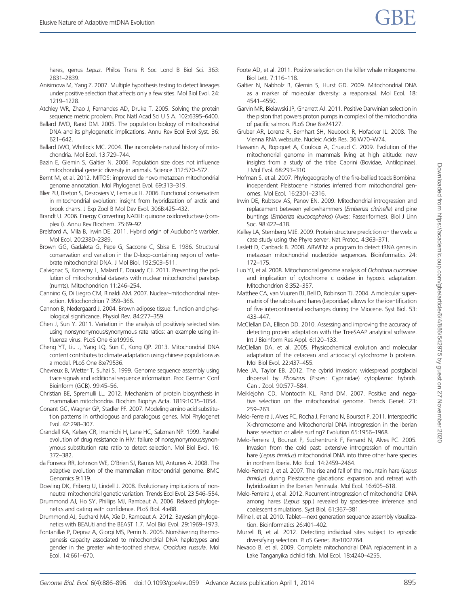- <span id="page-9-0"></span>Anisimova M, Yang Z. 2007. Multiple hypothesis testing to detect lineages under positive selection that affects only a few sites. Mol Biol Evol. 24: 1219–1228.
- Atchley WR, Zhao J, Fernandes AD, Druke T. 2005. Solving the protein sequence metric problem. Proc Natl Acad Sci U S A. 102:6395–6400.
- Ballard JWO, Rand DM. 2005. The population biology of mitochondrial DNA and its phylogenetic implications. Annu Rev Ecol Evol Syst. 36: 621–642.
- Ballard JWO, Whitlock MC. 2004. The incomplete natural history of mitochondria. Mol Ecol. 13:729–744.
- Bazin E, Glemin S, Galtier N. 2006. Population size does not influence mitochondrial genetic diversity in animals. Science 312:570–572.
- Bernt M, et al. 2012. MITOS: improved de novo metazoan mitochondrial genome annotation. Mol Phylogenet Evol. 69:313–319.
- Blier PU, Breton S, Desrosiers V, Lemieux H. 2006. Functional conservatism in mitochondrial evolution: insight from hybridization of arctic and brook charrs. J Exp Zool B Mol Dev Evol. 306B:425–432.
- Brandt U. 2006. Energy Converting NADH: quinone oxidoreductase (complex I). Annu Rev Biochem. 75:69–92.
- Brelsford A, Mila B, Irwin DE. 2011. Hybrid origin of Audubon's warbler. Mol Ecol. 20:2380–2389.
- Brown GG, Gadaleta G, Pepe G, Saccone C, Sbisa E. 1986. Structural conservation and variation in the D-loop-containing region of vertebrate mitochondrial DNA. J Mol Biol. 192:503–511.
- Calvignac S, Konecny L, Malard F, Douady CJ. 2011. Preventing the pollution of mitochondrial datasets with nuclear mitochondrial paralogs (numts). Mitochondrion 11:246–254.
- Cannino G, Di Liegro CM, Rinaldi AM. 2007. Nuclear–mitochondrial interaction. Mitochondrion 7:359–366.
- Cannon B, Nedergaard J. 2004. Brown adipose tissue: function and physiological significance. Physiol Rev. 84:277–359.
- Chen J, Sun Y. 2011. Variation in the analysis of positively selected sites using nonsynonymous/synonymous rate ratios: an example using influenza virus. PLoS One 6:e19996.
- Cheng YT, Liu J, Yang LQ, Sun C, Kong QP. 2013. Mitochondrial DNA content contributes to climate adaptation using chinese populations as a model. PLoS One 8:e79536.
- Chevreux B, Wetter T, Suhai S. 1999. Genome sequence assembly using trace signals and additional sequence information. Proc German Conf Bioinform (GCB). 99:45–56.
- Christian BE, Spremulli LL. 2012. Mechanism of protein biosynthesis in mammalian mitochondria. Biochim Biophys Acta. 1819:1035–1054.
- Conant GC, Wagner GP, Stadler PF. 2007. Modeling amino acid substitution patterns in orthologous and paralogous genes. Mol Phylogenet Evol. 42:298–307.
- Crandall KA, Kelsey CR, Imamichi H, Lane HC, Salzman NP. 1999. Parallel evolution of drug resistance in HIV: failure of nonsynonymous/synonymous substitution rate ratio to detect selection. Mol Biol Evol. 16: 372–382.
- da Fonseca RR, Johnson WE, O'Brien SJ, Ramos MJ, Antunes A. 2008. The adaptive evolution of the mammalian mitochondrial genome. BMC Genomics 9:119.
- Dowling DK, Friberg U, Lindell J. 2008. Evolutionary implications of nonneutral mitochondrial genetic variation. Trends Ecol Evol. 23:546–554.
- Drummond AJ, Ho SY, Phillips MJ, Rambaut A. 2006. Relaxed phylogenetics and dating with confidence. PLoS Biol. 4:e88.
- Drummond AJ, Suchard MA, Xie D, Rambaut A. 2012. Bayesian phylogenetics with BEAUti and the BEAST 1.7. Mol Biol Evol. 29:1969–1973.
- Fontanillas P, Depraz A, Giorgi MS, Perrin N. 2005. Nonshivering thermogenesis capacity associated to mitochondrial DNA haplotypes and gender in the greater white-toothed shrew, Crocidura russula. Mol Ecol. 14:661–670.
- Foote AD, et al. 2011. Positive selection on the killer whale mitogenome. Biol Lett. 7:116–118.
- Galtier N, Nabholz B, Glemin S, Hurst GD. 2009. Mitochondrial DNA as a marker of molecular diversity: a reappraisal. Mol Ecol. 18: 4541–4550.
- Garvin MR, Bielawski JP, Gharrett AJ. 2011. Positive Darwinian selection in the piston that powers proton pumps in complex I of the mitochondria of pacific salmon. PLoS One 6:e24127.
- Gruber AR, Lorenz R, Bernhart SH, Neubock R, Hofacker IL. 2008. The Vienna RNA websuite. Nucleic Acids Res. 36:W70–W74.
- Hassanin A, Ropiquet A, Couloux A, Cruaud C. 2009. Evolution of the mitochondrial genome in mammals living at high altitude: new insights from a study of the tribe Caprini (Bovidae, Antilopinae). J Mol Evol. 68:293–310.
- Hofman S, et al. 2007. Phylogeography of the fire-bellied toads Bombina: independent Pleistocene histories inferred from mitochondrial genomes. Mol Ecol. 16:2301–2316.
- Irwin DE, Rubtsov AS, Panov EN. 2009. Mitochondrial introgression and replacement between yellowhammers (Emberiza citrinella) and pine buntings (Emberiza leucocephalos) (Aves: Passeriformes). Biol J Linn Soc. 98:422–438.
- Kelley LA, Sternberg MJE. 2009. Protein structure prediction on the web: a case study using the Phyre server. Nat Protoc. 4:363–371.
- Laslett D, Canback B. 2008. ARWEN: a program to detect tRNA genes in metazoan mitochondrial nucleotide sequences. Bioinformatics 24: 172–175.
- Luo YJ, et al. 2008. Mitochondrial genome analysis of Ochotona curzoniae and implication of cytochrome c oxidase in hypoxic adaptation. Mitochondrion 8:352–357.
- Matthee CA, van Vuuren BJ, Bell D, Robinson TJ. 2004. A molecular supermatrix of the rabbits and hares (Leporidae) allows for the identification of five intercontinental exchanges during the Miocene. Syst Biol. 53: 433–447.
- McClellan DA, Ellison DD. 2010. Assessing and improving the accuracy of detecting protein adaptation with the TreeSAAP analytical software. Int J Bioinform Res Appl. 6:120–133.
- McClellan DA, et al. 2005. Physicochemical evolution and molecular adaptation of the cetacean and artiodactyl cytochrome b proteins. Mol Biol Evol. 22:437–455.
- Mee JA, Taylor EB. 2012. The cybrid invasion: widespread postglacial dispersal by Phoxinus (Pisces: Cyprinidae) cytoplasmic hybrids. Can J Zool. 90:577–584.
- Meiklejohn CD, Montooth KL, Rand DM. 2007. Positive and negative selection on the mitochondrial genome. Trends Genet. 23: 259–263.
- Melo-Ferreira J, Alves PC, Rocha J, Ferrand N, Boursot P. 2011. Interspecific X-chromosome and Mitochondrial DNA introgression in the Iberian hare: selection or allele surfing? Evolution 65:1956-1968.
- Melo-Ferreira J, Boursot P, Suchentrunk F, Ferrand N, Alves PC. 2005. Invasion from the cold past: extensive introgression of mountain hare (Lepus timidus) mitochondrial DNA into three other hare species in northern Iberia. Mol Ecol. 14:2459–2464.
- Melo-Ferreira J, et al. 2007. The rise and fall of the mountain hare (Lepus timidus) during Pleistocene glaciations: expansion and retreat with hybridization in the Iberian Peninsula. Mol Ecol. 16:605–618.
- Melo-Ferreira J, et al. 2012. Recurrent introgression of mitochondrial DNA among hares (Lepus spp.) revealed by species-tree inference and coalescent simulations. Syst Biol. 61:367–381.
- Milne I, et al. 2010. Tablet—next generation sequence assembly visualization. Bioinformatics 26:401–402.
- Murrell B, et al. 2012. Detecting individual sites subject to episodic diversifying selection. PLoS Genet. 8:e1002764.
- Nevado B, et al. 2009. Complete mitochondrial DNA replacement in a Lake Tanganyika cichlid fish. Mol Ecol. 18:4240–4255.